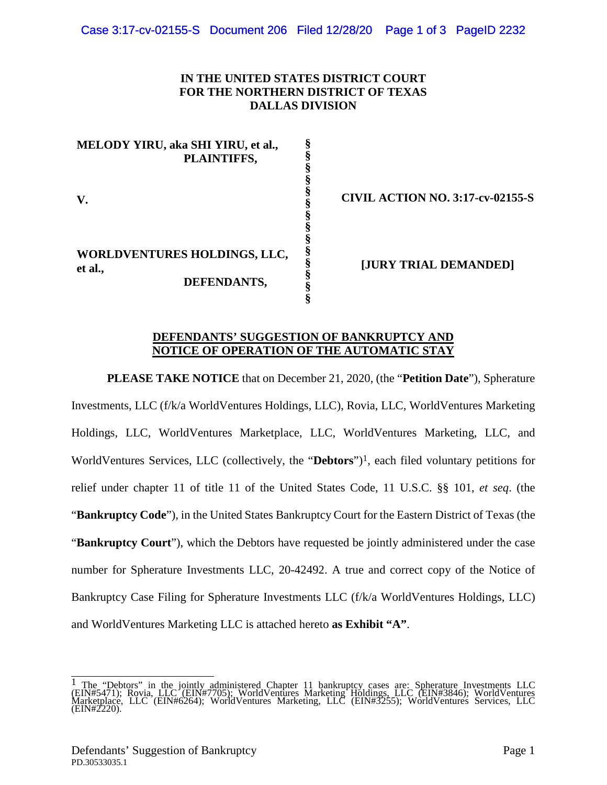## **IN THE UNITED STATES DISTRICT COURT FOR THE NORTHERN DISTRICT OF TEXAS DALLAS DIVISION**

**MELODY YIRU, aka SHI YIRU, et al., PLAINTIFFS, V. WORLDVENTURES HOLDINGS, LLC, et al., DEFENDANTS, § § § § § § § § § § § § §** 

**CIVIL ACTION NO. 3:17-cv-02155-S** 

**[JURY TRIAL DEMANDED]** 

#### **DEFENDANTS' SUGGESTION OF BANKRUPTCY AND NOTICE OF OPERATION OF THE AUTOMATIC STAY**

**§** 

**PLEASE TAKE NOTICE** that on December 21, 2020, (the "**Petition Date**"), Spherature Investments, LLC (f/k/a WorldVentures Holdings, LLC), Rovia, LLC, WorldVentures Marketing Holdings, LLC, WorldVentures Marketplace, LLC, WorldVentures Marketing, LLC, and WorldVentures Services, LLC (collectively, the "**Debtors**")[1](#page-0-0), each filed voluntary petitions for relief under chapter 11 of title 11 of the United States Code, 11 U.S.C. §§ 101, *et seq*. (the "**Bankruptcy Code**"), in the United States Bankruptcy Court for the Eastern District of Texas (the "**Bankruptcy Court**"), which the Debtors have requested be jointly administered under the case number for Spherature Investments LLC, 20-42492. A true and correct copy of the Notice of Bankruptcy Case Filing for Spherature Investments LLC (f/k/a WorldVentures Holdings, LLC) and WorldVentures Marketing LLC is attached hereto **as Exhibit "A"**.

<span id="page-0-0"></span><sup>&</sup>lt;sup>1</sup> The "Debtors" in the jointly administered Chapter 11 bankruptcy cases are: Spherature Investments LLC (EIN#5471); Rovia, LLC (EIN#7705); WorldVentures Marketing Holdings, LLC (EIN#3846); WorldVentures Marketplace, LLC (EIN#6264); WorldVentures Marketing, LLC (EIN#3255); WorldVentures Services, LLC (EIN#2220).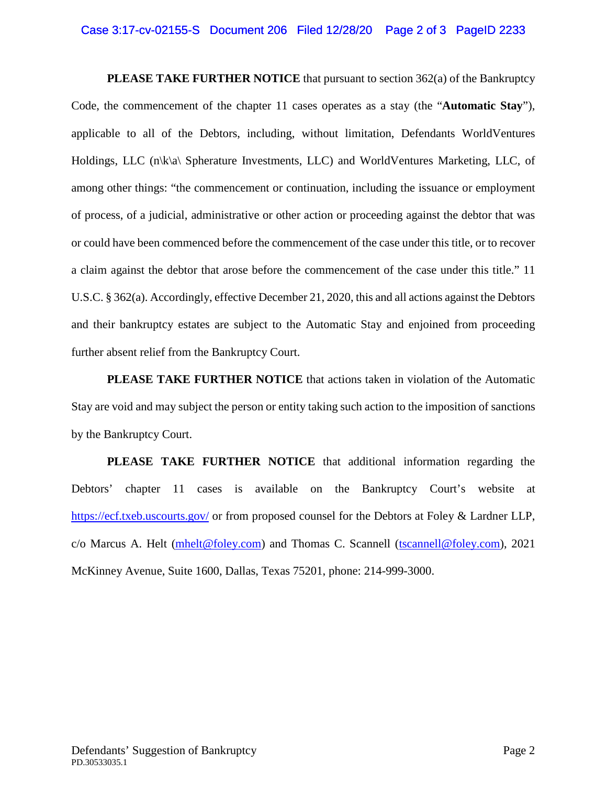#### Case 3:17-cv-02155-S Document 206 Filed 12/28/20 Page 2 of 3 PageID 2233

**PLEASE TAKE FURTHER NOTICE** that pursuant to section 362(a) of the Bankruptcy Code, the commencement of the chapter 11 cases operates as a stay (the "**Automatic Stay**"), applicable to all of the Debtors, including, without limitation, Defendants WorldVentures Holdings, LLC (n\k\a\ Spherature Investments, LLC) and WorldVentures Marketing, LLC, of among other things: "the commencement or continuation, including the issuance or employment of process, of a judicial, administrative or other action or proceeding against the debtor that was or could have been commenced before the commencement of the case under this title, or to recover a claim against the debtor that arose before the commencement of the case under this title." 11 U.S.C. § 362(a). Accordingly, effective December 21, 2020, this and all actions against the Debtors and their bankruptcy estates are subject to the Automatic Stay and enjoined from proceeding further absent relief from the Bankruptcy Court.

**PLEASE TAKE FURTHER NOTICE** that actions taken in violation of the Automatic Stay are void and may subject the person or entity taking such action to the imposition of sanctions by the Bankruptcy Court.

**PLEASE TAKE FURTHER NOTICE** that additional information regarding the Debtors' chapter 11 cases is available on the Bankruptcy Court's website at <https://ecf.txeb.uscourts.gov/>or from proposed counsel for the Debtors at Foley & Lardner LLP, c/o Marcus A. Helt [\(mhelt@foley.com\)](mailto:mhelt@foley.com) and Thomas C. Scannell ([tscannell@foley.com\)](mailto:tscannell@foley.com), 2021 McKinney Avenue, Suite 1600, Dallas, Texas 75201, phone: 214-999-3000.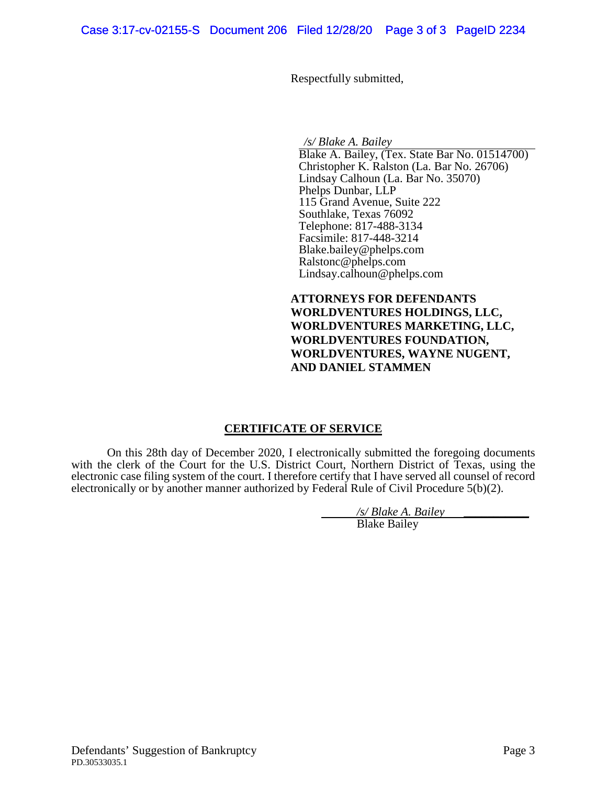Respectfully submitted,

*/s/ Blake A. Bailey*

Blake A. Bailey, (Tex. State Bar No. 01514700) Christopher K. Ralston (La. Bar No. 26706) Lindsay Calhoun (La. Bar No. 35070) Phelps Dunbar, LLP 115 Grand Avenue, Suite 222 Southlake, Texas 76092 Telephone: 817-488-3134 Facsimile: 817-448-3214 Blake.bailey@phelps.com Ralstonc@phelps.com Lindsay.calhoun@phelps.com

**ATTORNEYS FOR DEFENDANTS WORLDVENTURES HOLDINGS, LLC, WORLDVENTURES MARKETING, LLC, WORLDVENTURES FOUNDATION, WORLDVENTURES, WAYNE NUGENT, AND DANIEL STAMMEN** 

## **CERTIFICATE OF SERVICE**

On this 28th day of December 2020, I electronically submitted the foregoing documents with the clerk of the Court for the U.S. District Court, Northern District of Texas, using the electronic case filing system of the court. I therefore certify that I have served all counsel of record electronically or by another manner authorized by Federal Rule of Civil Procedure 5(b)(2).

*/s/ Blake A. Bailey* \_\_\_\_\_\_\_\_\_\_\_

Blake Bailey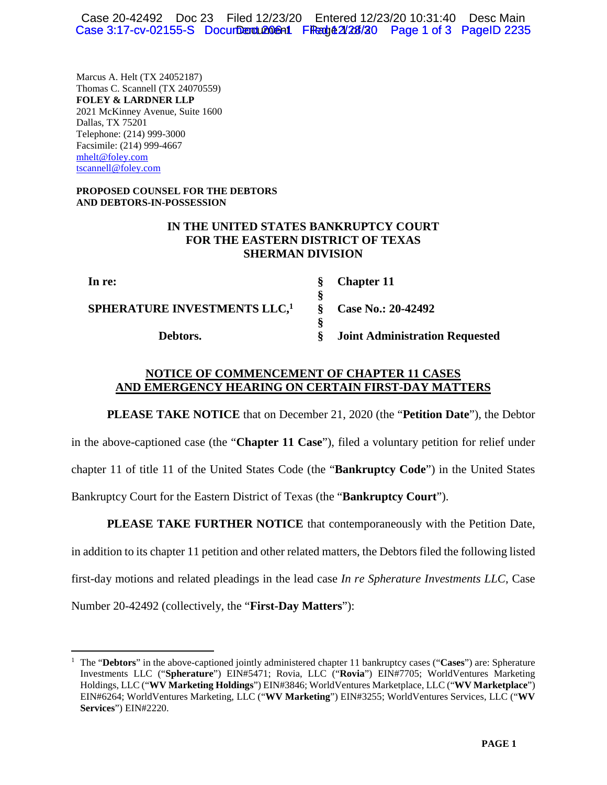Case 20-42492 Doc 23 Filed 12/23/20 Entered 12/23/20 10:31:40 Desc Main Case 3:17-cv-02155-S Document 206-1 Filed 42/28/20 Page 1 of 3 Page ID 2235

Marcus A. Helt (TX 24052187) Thomas C. Scannell (TX 24070559) **FOLEY & LARDNER LLP**  2021 McKinney Avenue, Suite 1600 Dallas, TX 75201 Telephone: (214) 999-3000 Facsimile: (214) 999-4667 mhelt@foley.com tscannell@foley.com

#### **PROPOSED COUNSEL FOR THE DEBTORS AND DEBTORS-IN-POSSESSION**

# **IN THE UNITED STATES BANKRUPTCY COURT FOR THE EASTERN DISTRICT OF TEXAS SHERMAN DIVISION**

**In re: SPHERATURE INVESTMENTS LLC,<sup>1</sup> Debtors. § § § § § Chapter 11 Case No.: 20-42492 Joint Administration Requested** 

#### **NOTICE OF COMMENCEMENT OF CHAPTER 11 CASES AND EMERGENCY HEARING ON CERTAIN FIRST-DAY MATTERS**

**PLEASE TAKE NOTICE** that on December 21, 2020 (the "**Petition Date**"), the Debtor in the above-captioned case (the "**Chapter 11 Case**"), filed a voluntary petition for relief under chapter 11 of title 11 of the United States Code (the "**Bankruptcy Code**") in the United States Bankruptcy Court for the Eastern District of Texas (the "**Bankruptcy Court**").

**PLEASE TAKE FURTHER NOTICE** that contemporaneously with the Petition Date, in addition to its chapter 11 petition and other related matters, the Debtors filed the following listed first-day motions and related pleadings in the lead case *In re Spherature Investments LLC*, Case Number 20-42492 (collectively, the "**First-Day Matters**"):

<sup>1</sup> The "**Debtors**" in the above-captioned jointly administered chapter 11 bankruptcy cases ("**Cases**") are: Spherature Investments LLC ("**Spherature**") EIN#5471; Rovia, LLC ("**Rovia**") EIN#7705; WorldVentures Marketing Holdings, LLC ("**WV Marketing Holdings**") EIN#3846; WorldVentures Marketplace, LLC ("**WV Marketplace**") EIN#6264; WorldVentures Marketing, LLC ("**WV Marketing**") EIN#3255; WorldVentures Services, LLC ("**WV Services**") EIN#2220.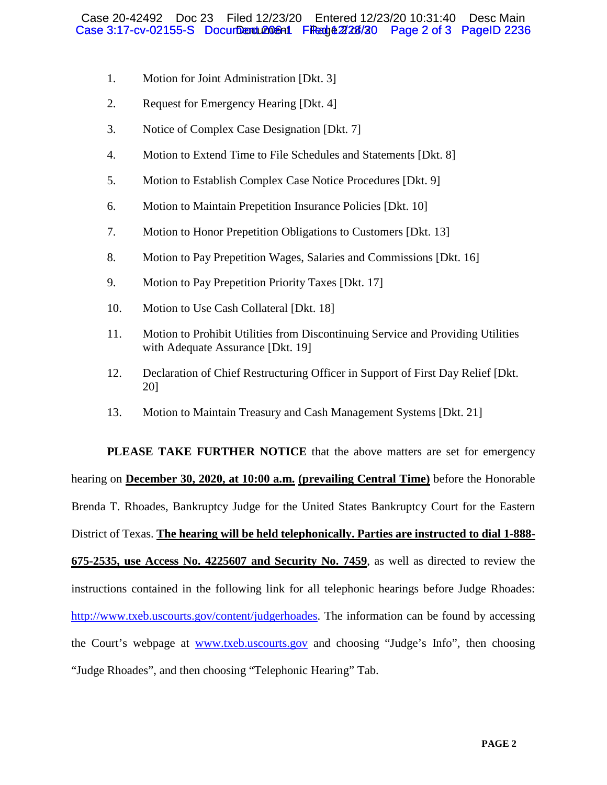- 1. Motion for Joint Administration [Dkt. 3]
- 2. Request for Emergency Hearing [Dkt. 4]
- 3. Notice of Complex Case Designation [Dkt. 7]
- 4. Motion to Extend Time to File Schedules and Statements [Dkt. 8]
- 5. Motion to Establish Complex Case Notice Procedures [Dkt. 9]
- 6. Motion to Maintain Prepetition Insurance Policies [Dkt. 10]
- 7. Motion to Honor Prepetition Obligations to Customers [Dkt. 13]
- 8. Motion to Pay Prepetition Wages, Salaries and Commissions [Dkt. 16]
- 9. Motion to Pay Prepetition Priority Taxes [Dkt. 17]
- 10. Motion to Use Cash Collateral [Dkt. 18]
- 11. Motion to Prohibit Utilities from Discontinuing Service and Providing Utilities with Adequate Assurance [Dkt. 19]
- 12. Declaration of Chief Restructuring Officer in Support of First Day Relief [Dkt. 20]
- 13. Motion to Maintain Treasury and Cash Management Systems [Dkt. 21]

**PLEASE TAKE FURTHER NOTICE** that the above matters are set for emergency hearing on **December 30, 2020, at 10:00 a.m. (prevailing Central Time)** before the Honorable Brenda T. Rhoades, Bankruptcy Judge for the United States Bankruptcy Court for the Eastern District of Texas. **The hearing will be held telephonically. Parties are instructed to dial 1-888- 675-2535, use Access No. 4225607 and Security No. 7459**, as well as directed to review the instructions contained in the following link for all telephonic hearings before Judge Rhoades: http://www.txeb.uscourts.gov/content/judgerhoades. The information can be found by accessing the Court's webpage at www.txeb.uscourts.gov and choosing "Judge's Info", then choosing "Judge Rhoades", and then choosing "Telephonic Hearing" Tab.